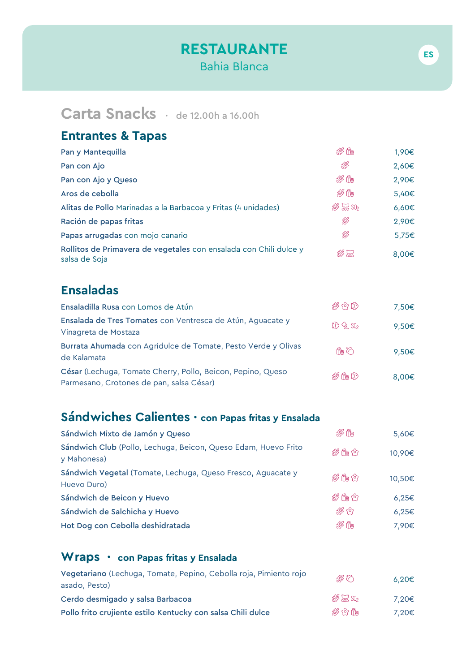## RESTAURANTE Bahia Blanca

# Carta Snacks · de 12.00h a 16.00h

#### Entrantes & Tapas

| Pan y Mantequilla                                                                  | 必作                                                          | 1,90€      |
|------------------------------------------------------------------------------------|-------------------------------------------------------------|------------|
| Pan con Ajo                                                                        | \$                                                          | 2,60€      |
| Pan con Ajo y Queso                                                                | 彩作                                                          | 2,90€      |
| Aros de cebolla                                                                    | 必作                                                          | 5,40€      |
| Alitas de Pollo Marinadas a la Barbacoa y Fritas (4 unidades)                      | $\frac{1}{25}$ $\frac{1}{25}$ $\frac{1}{20}$ $\frac{1}{20}$ | $6,60 \in$ |
| Ración de papas fritas                                                             | ß                                                           | 2,90€      |
| Papas arrugadas con mojo canario                                                   | ß                                                           | 5,75€      |
| Rollitos de Primavera de vegetales con ensalada con Chili dulce y<br>salsa de Soja | $\mathbb{R} \mathbb{Z}$                                     | 8,00€      |

## Ensaladas

| Ensaladilla Rusa con Lomos de Atún                                                                      | \$ 61 IO            | 7.50€ |
|---------------------------------------------------------------------------------------------------------|---------------------|-------|
| Ensalada de Tres Tomates con Ventresca de Atún, Aguacate y<br>Vinagreta de Mostaza                      | $20 \leqslant S0_2$ | 9.50€ |
| Burrata Ahumada con Agridulce de Tomate, Pesto Verde y Olivas<br>de Kalamata                            | 作の                  | 9.50€ |
| César (Lechuga, Tomate Cherry, Pollo, Beicon, Pepino, Queso<br>Parmesano, Crotones de pan, salsa César) | 炎作心                 | 8,00€ |

## Sándwiches Calientes · con Papas fritas y Ensalada

| 必作  | 5,60€      |
|-----|------------|
| 淡作① | 10,90€     |
| 彩作仪 | 10,50€     |
| 终作① | $6,25 \in$ |
| **  | $6,25 \in$ |
| 終作  | 7,90€      |
|     |            |

#### Wraps · con Papas fritas y Ensalada

| Vegetariano (Lechuga, Tomate, Pepino, Cebolla roja, Pimiento rojo<br>asado, Pesto) | ぷの           | 6.20€ |
|------------------------------------------------------------------------------------|--------------|-------|
| Cerdo desmigado y salsa Barbacoa                                                   | \$\$ \$2 SO2 | 7.20€ |
| Pollo frito crujiente estilo Kentucky con salsa Chili dulce                        | 終め作          | 7.20€ |

ES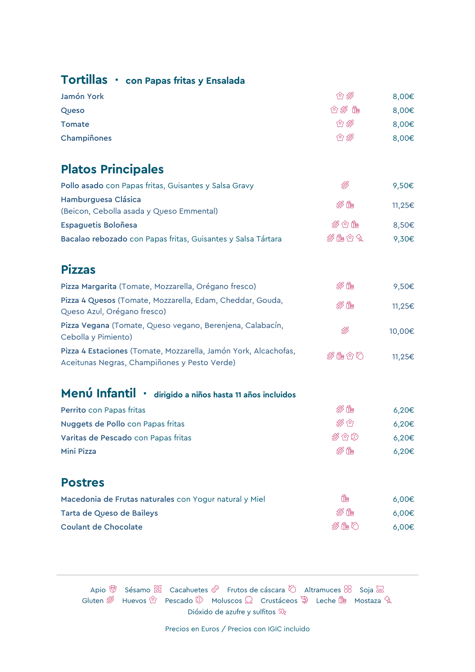### Tortillas · con Papas fritas y Ensalada

| Jamón York    | 03    | 8,00€ |
|---------------|-------|-------|
| Queso         | ☆ ※ 作 | 8,00€ |
| <b>Tomate</b> | 03    | 8,00€ |
| Champiñones   | 03    | 8,00€ |
|               |       |       |

## Platos Principales

| Pollo asado con Papas fritas, Guisantes y Salsa Gravy           | ß    | 9.50€  |
|-----------------------------------------------------------------|------|--------|
| Hamburguesa Clásica<br>(Beicon, Cebolla asada y Queso Emmental) | 必作   | 11.25€ |
| Espaguetis Boloñesa                                             | 終め作  | 8.50€  |
| Bacalao rebozado con Papas fritas, Guisantes y Salsa Tártara    | 終備の女 | 9.30€  |

### Pizzas

| Pizza Margarita (Tomate, Mozzarella, Orégano fresco)                                                            | <i>※</i> 作 | 9.50€  |
|-----------------------------------------------------------------------------------------------------------------|------------|--------|
| Pizza 4 Quesos (Tomate, Mozzarella, Edam, Cheddar, Gouda,<br>Queso Azul, Orégano fresco)                        | 彩作         | 11.25€ |
| Pizza Vegana (Tomate, Queso vegano, Berenjena, Calabacín,<br>Cebolla y Pimiento)                                | X          | 10.00€ |
| Pizza 4 Estaciones (Tomate, Mozzarella, Jamón York, Alcachofas,<br>Aceitunas Negras, Champiñones y Pesto Verde) | 彩脂むひ       | 11.25€ |

# Menú Infantil · dirigido a niños hasta 11 años incluidos

| Perrito con Papas fritas            | 彩作        | 6.20€ |
|-------------------------------------|-----------|-------|
| Nuggets de Pollo con Papas fritas   | <b>路仓</b> | 6.20€ |
| Varitas de Pescado con Papas fritas | \$\$ 10.  | 6.20€ |
| Mini Pizza                          | 必作        | 6.20€ |

#### Postres

| Macedonia de Frutas naturales con Yogur natural y Miel | 脩   | 6.00€ |
|--------------------------------------------------------|-----|-------|
| Tarta de Queso de Baileys                              | 淡晴  | 6.00€ |
| <b>Coulant de Chocolate</b>                            | 彩作り | 6.00€ |

Apio  $\overline{w}$  Sésamo  $\overline{\mathbb{R}}$  Cacahuetes  $\mathscr{P}$  Frutos de cáscara  $\overline{O}$  Altramuces  $\overline{\mathscr{C}}$  Soja  $\overline{\mathbb{R}}$ Gluten  $\mathscr{B}$  Huevos  $\mathscr{D}$  Pescado  $\mathscr{D}$  Moluscos  $\Omega$  Crustáceos  $\mathscr{D}$  Leche La Mostaza  $\mathscr{D}$ Dióxido de azufre y sulfitos SO<sub>2</sub>

Precios en Euros / Precios con IGIC incluido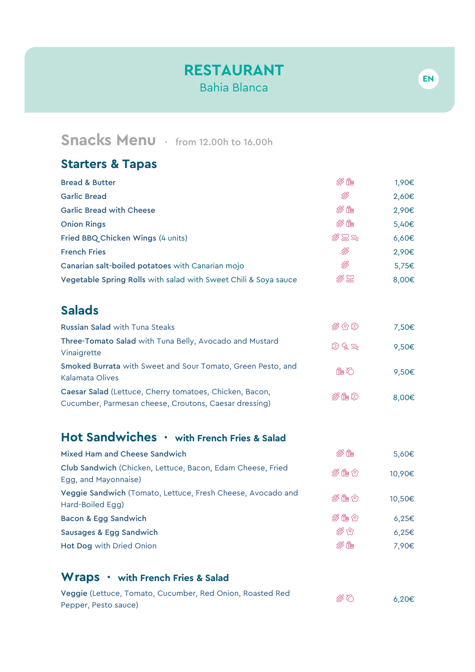## RESTAURANT Bahia Blanca

## Snacks Menu · from 12.00h to 16.00h

## Starters & Tapas

| <b>Bread &amp; Butter</b>                                       | 终储                                                                                                                                          | 1,90€ |
|-----------------------------------------------------------------|---------------------------------------------------------------------------------------------------------------------------------------------|-------|
| <b>Garlic Bread</b>                                             | \$                                                                                                                                          | 2,60€ |
| <b>Garlic Bread with Cheese</b>                                 | 彩作                                                                                                                                          | 2,90€ |
| <b>Onion Rings</b>                                              | 彩作                                                                                                                                          | 5,40€ |
| Fried BBQ Chicken Wings (4 units)                               | $\frac{1}{2}$ $\frac{1}{2}$ $\frac{1}{2}$ $\frac{1}{2}$ $\frac{1}{2}$ $\frac{1}{2}$ $\frac{1}{2}$ $\frac{1}{2}$ $\frac{1}{2}$ $\frac{1}{2}$ | 6,60€ |
| <b>French Fries</b>                                             | ß                                                                                                                                           | 2,90€ |
| Canarian salt-boiled potatoes with Canarian mojo                | \$                                                                                                                                          | 5,75€ |
| Vegetable Spring Rolls with salad with Sweet Chili & Soya sauce | 務留                                                                                                                                          | 8,00€ |
|                                                                 |                                                                                                                                             |       |

## Salads

| <b>Russian Salad with Tuna Steaks</b>                                                                            | \$ 62 IO            | 7,50€           |
|------------------------------------------------------------------------------------------------------------------|---------------------|-----------------|
| Three-Tomato Salad with Tuna Belly, Avocado and Mustard<br>Vinaigrette                                           | $20 \leqslant S0_2$ | 9,50€           |
| Smoked Burrata with Sweet and Sour Tomato, Green Pesto, and<br>Kalamata Olives                                   | 作の                  | 9.50€           |
| Caesar Salad (Lettuce, Cherry tomatoes, Chicken, Bacon,<br>Cucumber, Parmesan cheese, Croutons, Caesar dressing) | 炎作心                 | 8.00 $\epsilon$ |

## Hot Sandwiches · with French Fries & Salad

| Mixed Ham and Cheese Sandwich                                                      | 終作        | 5,60€      |
|------------------------------------------------------------------------------------|-----------|------------|
| Club Sandwich (Chicken, Lettuce, Bacon, Edam Cheese, Fried<br>Egg, and Mayonnaise) | 终作①       | 10,90€     |
| Veggie Sandwich (Tomato, Lettuce, Fresh Cheese, Avocado and<br>Hard-Boiled Egg)    | 彩作む       | 10,50€     |
| Bacon & Egg Sandwich                                                               | 终作①       | $6,25 \in$ |
| Sausages & Egg Sandwich                                                            | <b>路仓</b> | $6,25 \in$ |
| <b>Hot Dog with Dried Onion</b>                                                    | 終作        | 7.90€      |

#### Wraps • with French Fries & Salad

| Veggie (Lettuce, Tomato, Cucumber, Red Onion, Roasted Red | ぷの | 6.20€ |
|-----------------------------------------------------------|----|-------|
| Pepper, Pesto sauce)                                      |    |       |

EN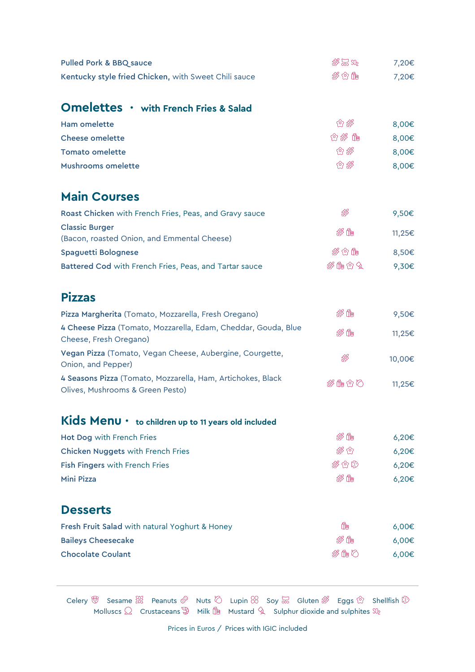| <b>Pulled Pork &amp; BBQ sauce</b>                                                              | $\frac{1}{2}$ $\frac{1}{2}$ $\frac{1}{2}$ $\frac{1}{2}$ $\frac{1}{2}$ $\frac{1}{2}$ $\frac{1}{2}$ $\frac{1}{2}$ $\frac{1}{2}$ $\frac{1}{2}$ | 7,20€      |
|-------------------------------------------------------------------------------------------------|---------------------------------------------------------------------------------------------------------------------------------------------|------------|
| Kentucky style fried Chicken, with Sweet Chili sauce                                            | 淡女作                                                                                                                                         | 7,20€      |
|                                                                                                 |                                                                                                                                             |            |
| Omelettes • with French Fries & Salad                                                           |                                                                                                                                             |            |
| <b>Ham omelette</b>                                                                             | 白 骖                                                                                                                                         | 8,00€      |
| <b>Cheese omelette</b>                                                                          | ☆ 路 作                                                                                                                                       | 8,00€      |
| <b>Tomato omelette</b>                                                                          | 白路                                                                                                                                          | 8,00€      |
| Mushrooms omelette                                                                              | 白 骖                                                                                                                                         | 8,00€      |
| <b>Main Courses</b>                                                                             |                                                                                                                                             |            |
| Roast Chicken with French Fries, Peas, and Gravy sauce                                          | \$                                                                                                                                          | 9,50€      |
| <b>Classic Burger</b>                                                                           |                                                                                                                                             |            |
| (Bacon, roasted Onion, and Emmental Cheese)                                                     | 炎作                                                                                                                                          | 11,25€     |
| Spaguetti Bolognese                                                                             | 淡女作                                                                                                                                         | 8,50€      |
| Battered Cod with French Fries, Peas, and Tartar sauce                                          | 炎脂☆タ                                                                                                                                        | 9,30€      |
| <b>Pizzas</b>                                                                                   |                                                                                                                                             |            |
| Pizza Margherita (Tomato, Mozzarella, Fresh Oregano)                                            | 必作                                                                                                                                          | 9,50€      |
| 4 Cheese Pizza (Tomato, Mozzarella, Edam, Cheddar, Gouda, Blue<br>Cheese, Fresh Oregano)        | 必作                                                                                                                                          | 11,25€     |
| Vegan Pizza (Tomato, Vegan Cheese, Aubergine, Courgette,<br>Onion, and Pepper)                  | <b>es</b>                                                                                                                                   | 10,00€     |
| 4 Seasons Pizza (Tomato, Mozzarella, Ham, Artichokes, Black<br>Olives, Mushrooms & Green Pesto) | 炎龟むひ                                                                                                                                        | 11,25€     |
| Kids Menu • to children up to 11 years old included                                             |                                                                                                                                             |            |
| Hot Dog with French Fries                                                                       | 必作                                                                                                                                          | $6,20 \in$ |
| Chicken Nuggets with French Fries                                                               | 资白                                                                                                                                          | 6,20€      |
| Fish Fingers with French Fries                                                                  | 终仓协                                                                                                                                         | $6,20 \in$ |
| <b>Mini Pizza</b>                                                                               | 彩作                                                                                                                                          | 6,20€      |
| <b>Desserts</b>                                                                                 |                                                                                                                                             |            |
| Fresh Fruit Salad with natural Yoghurt & Honey                                                  | ₫                                                                                                                                           | $6,00 \in$ |
| <b>Baileys Cheesecake</b>                                                                       | 炎作                                                                                                                                          | 6,00€      |
| <b>Chocolate Coulant</b>                                                                        | が作り                                                                                                                                         | 6,00€      |
|                                                                                                 |                                                                                                                                             |            |

Celery  $\mathbb {W}$  Sesame  $\mathbb {K}$  Peanuts  $\mathscr {P}$  Nuts  $\mathbb {O}$  Lupin  $\mathbb {W}$  Soy  $\mathbb {W}$  Gluten  $\mathscr {B}$  Eggs  $\mathbb {O}$  Shellfish Molluscs Crustaceans Milk Mustard Sulphur dioxide and sulphites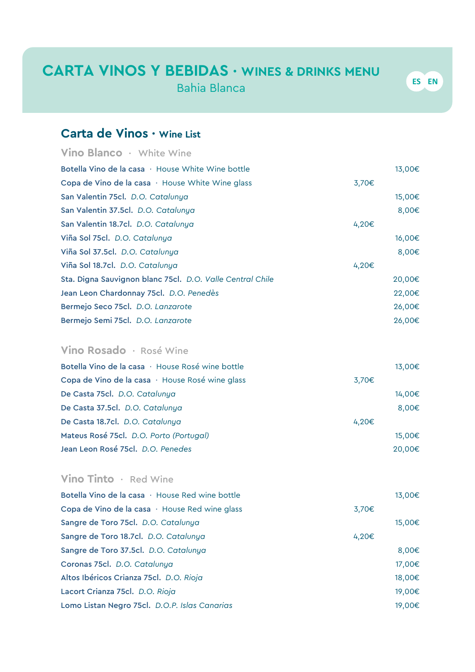## CARTA VINOS Y BEBIDAS · WINES & DRINKS MENU

Bahia Blanca

## Carta de Vinos · Wine List

|       | 13,00€ |
|-------|--------|
| 3,70€ |        |
|       | 15,00€ |
|       | 8,00€  |
| 4,20€ |        |
|       | 16,00€ |
|       | 8,00€  |
| 4,20€ |        |
|       | 20,00€ |
|       | 22,00€ |
|       | 26,00€ |
|       | 26,00€ |
|       |        |

#### Vino Rosado · Rosé Wine

|       | 13,00€ |
|-------|--------|
| 3,70€ |        |
|       | 14,00€ |
|       | 8,00€  |
| 4,20€ |        |
|       | 15,00€ |
|       | 20,00€ |
|       |        |

#### Vino Tinto · Red Wine

| Botella Vino de la casa $\cdot$ House Red wine bottle |       | 13,00€ |
|-------------------------------------------------------|-------|--------|
| Copa de Vino de la casa · House Red wine glass        | 3,70€ |        |
| Sangre de Toro 75cl. D.O. Catalunya                   |       | 15,00€ |
| Sangre de Toro 18.7cl. D.O. Catalunya                 | 4,20€ |        |
| Sangre de Toro 37.5cl. D.O. Catalunya                 |       | 8,00€  |
| Coronas 75cl. D.O. Catalunya                          |       | 17,00€ |
| Altos Ibéricos Crianza 75cl. D.O. Rioja               |       | 18,00€ |
| Lacort Crianza 75cl. D.O. Rioja                       |       | 19,00€ |
| Lomo Listan Negro 75cl. D.O.P. Islas Canarias         |       | 19,00€ |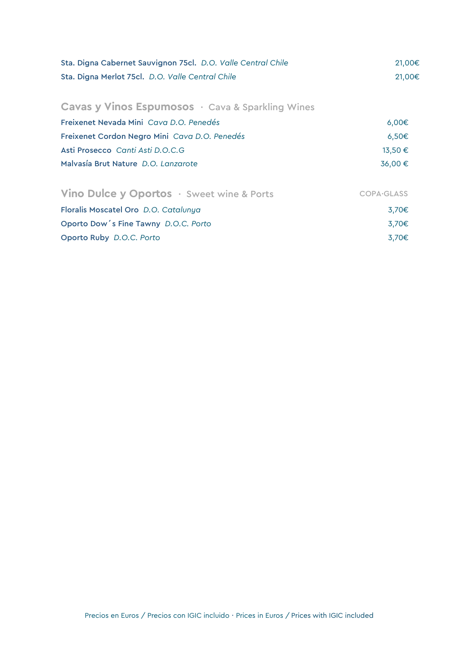| Sta. Digna Cabernet Sauvignon 75cl. D.O. Valle Central Chile<br>Sta. Digna Merlot 75cl. D.O. Valle Central Chile | 21,00€<br>21,00€   |
|------------------------------------------------------------------------------------------------------------------|--------------------|
| Cavas y Vinos Espumosos · Cava & Sparkling Wines                                                                 |                    |
| Freixenet Nevada Mini Cava D.O. Penedés                                                                          | $6,00 \in$         |
| Freixenet Cordon Negro Mini Cava D.O. Penedés                                                                    | 6,50€              |
| Asti Prosecco Canti Asti D.O.C.G                                                                                 | 13,50€             |
| Malvasía Brut Nature D.O. Lanzarote                                                                              | 36,00€             |
| Vino Dulce y Oportos · Sweet wine & Ports                                                                        | <b>COPA</b> -GLASS |
| Floralis Moscatel Oro D.O. Catalunya                                                                             | 3,70€              |
| Oporto Dow's Fine Tawny D.O.C. Porto                                                                             | 3,70€              |
| Oporto Ruby D.O.C. Porto                                                                                         | 3,70€              |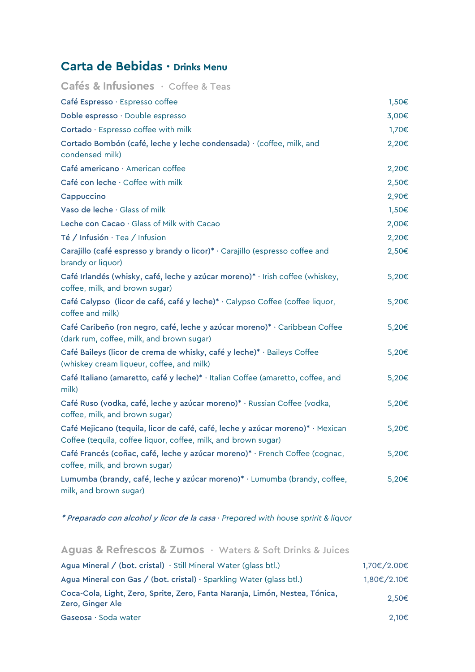## Carta de Bebidas · Drinks Menu

| Cafés & Infusiones · Coffee & Teas<br>Café Espresso · Espresso coffee<br>1,50€<br>Doble espresso · Double espresso<br>3,00€<br>Cortado · Espresso coffee with milk<br>1,70€<br>Cortado Bombón (café, leche y leche condensada) · (coffee, milk, and<br>2,20€<br>condensed milk)<br>Café americano · American coffee<br>2,20€ |
|------------------------------------------------------------------------------------------------------------------------------------------------------------------------------------------------------------------------------------------------------------------------------------------------------------------------------|
|                                                                                                                                                                                                                                                                                                                              |
|                                                                                                                                                                                                                                                                                                                              |
|                                                                                                                                                                                                                                                                                                                              |
|                                                                                                                                                                                                                                                                                                                              |
|                                                                                                                                                                                                                                                                                                                              |
|                                                                                                                                                                                                                                                                                                                              |
| Café con leche · Coffee with milk<br>2,50€                                                                                                                                                                                                                                                                                   |
| 2,90€<br>Cappuccino                                                                                                                                                                                                                                                                                                          |
| Vaso de leche · Glass of milk<br>1,50€                                                                                                                                                                                                                                                                                       |
| Leche con Cacao · Glass of Milk with Cacao<br>2,00€                                                                                                                                                                                                                                                                          |
| 2,20€<br>Té / Infusión · Tea / Infusion                                                                                                                                                                                                                                                                                      |
| Carajillo (café espresso y brandy o licor)* · Carajillo (espresso coffee and<br>2,50€<br>brandy or liquor)                                                                                                                                                                                                                   |
| Café Irlandés (whisky, café, leche y azúcar moreno)* · Irish coffee (whiskey,<br>5,20€<br>coffee, milk, and brown sugar)                                                                                                                                                                                                     |
| Café Calypso (licor de café, café y leche)* · Calypso Coffee (coffee liquor,<br>5,20€<br>coffee and milk)                                                                                                                                                                                                                    |
| Café Caribeño (ron negro, café, leche y azúcar moreno)* · Caribbean Coffee<br>5,20€<br>(dark rum, coffee, milk, and brown sugar)                                                                                                                                                                                             |
| Café Baileys (licor de crema de whisky, café y leche)* · Baileys Coffee<br>5,20€<br>(whiskey cream liqueur, coffee, and milk)                                                                                                                                                                                                |
| Café Italiano (amaretto, café y leche)* · Italian Coffee (amaretto, coffee, and<br>5,20€<br>milk)                                                                                                                                                                                                                            |
| Café Ruso (vodka, café, leche y azúcar moreno)* · Russian Coffee (vodka,<br>5,20€<br>coffee, milk, and brown sugar)                                                                                                                                                                                                          |
| Café Mejicano (tequila, licor de café, café, leche y azúcar moreno)* · Mexican<br>5,20€<br>Coffee (tequila, coffee liquor, coffee, milk, and brown sugar)                                                                                                                                                                    |
| Café Francés (coñac, café, leche y azúcar moreno)* · French Coffee (cognac,<br>5,20€<br>coffee, milk, and brown sugar)                                                                                                                                                                                                       |
| Lumumba (brandy, café, leche y azúcar moreno)* · Lumumba (brandy, coffee,<br>5,20€<br>milk, and brown sugar)                                                                                                                                                                                                                 |

\* Preparado con alcohol y licor de la casa · *Prepared with house spririt & liquor*

| Aguas & Refrescos & Zumos · Waters & Soft Drinks & Juices                                       |             |
|-------------------------------------------------------------------------------------------------|-------------|
| Agua Mineral / (bot. cristal) $\cdot$ Still Mineral Water (glass btl.)                          | 1,70€/2.00€ |
| Agua Mineral con Gas / (bot. cristal) $\cdot$ Sparkling Water (glass btl.)                      | 1,80€/2.10€ |
| Coca-Cola, Light, Zero, Sprite, Zero, Fanta Naranja, Limón, Nestea, Tónica,<br>Zero, Ginger Ale | $2.50 \in$  |
| Gaseosa · Soda water                                                                            | 2.10€       |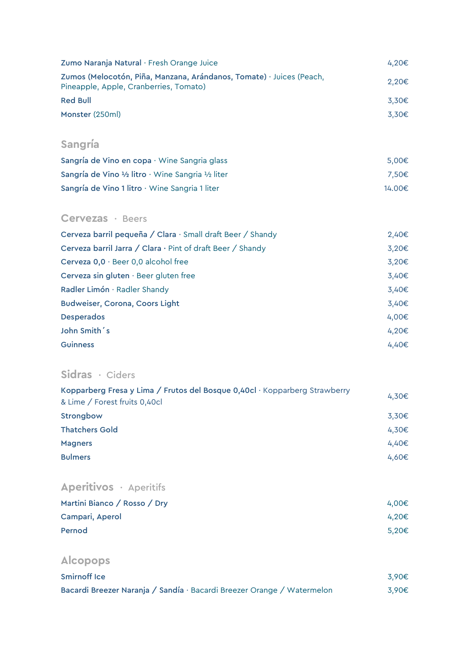| Zumo Naranja Natural · Fresh Orange Juice                                                                      | 4.20€             |
|----------------------------------------------------------------------------------------------------------------|-------------------|
| Zumos (Melocotón, Piña, Manzana, Arándanos, Tomate) · Juices (Peach,<br>Pineapple, Apple, Cranberries, Tomato) | 2.20€             |
| <b>Red Bull</b>                                                                                                | 3.30€             |
| Monster (250ml)                                                                                                | 3.30 <sub>€</sub> |
|                                                                                                                |                   |

## Sangría

| Sangría de Vino en copa · Wine Sangria glass       | 5.00€  |
|----------------------------------------------------|--------|
| Sangría de Vino 1/2 litro · Wine Sangria 1/2 liter | 7.50€  |
| Sangría de Vino 1 litro · Wine Sangria 1 liter     | 14.00€ |

#### Cervezas · Beers

| Cerveza barril pequeña / Clara · Small draft Beer / Shandy | 2,40€      |
|------------------------------------------------------------|------------|
| Cerveza barril Jarra / Clara · Pint of draft Beer / Shandy | $3,20 \in$ |
| Cerveza $0,0 \cdot$ Beer 0,0 alcohol free                  | $3,20 \in$ |
| Cerveza sin gluten $\cdot$ Beer gluten free                | $3,40 \in$ |
| Radler Limón · Radler Shandy                               | $3,40 \in$ |
| <b>Budweiser, Corona, Coors Light</b>                      | $3,40 \in$ |
| <b>Desperados</b>                                          | 4,00€      |
| John Smith's                                               | 4,20€      |
| <b>Guinness</b>                                            | 4,40€      |

### Sidras · Ciders

| Kopparberg Fresa y Lima / Frutos del Bosque 0,40cl · Kopparberg Strawberry | 4.30E |
|----------------------------------------------------------------------------|-------|
| & Lime / Forest fruits 0,40cl                                              |       |
| Strongbow                                                                  | 3,30€ |
| <b>Thatchers Gold</b>                                                      | 4.30€ |
| <b>Magners</b>                                                             | 4.40€ |
| <b>Bulmers</b>                                                             | 4.60€ |
|                                                                            |       |

## Aperitivos · Aperitifs

| Martini Bianco / Rosso / Dry | 4.00€ |
|------------------------------|-------|
| Campari, Aperol              | 4.20€ |
| Pernod                       | 5.20€ |

## Alcopops

| <b>Smirnoff Ice</b>                                                    | 3.90€ |
|------------------------------------------------------------------------|-------|
| Bacardi Breezer Naranja / Sandía · Bacardi Breezer Orange / Watermelon | 3.90€ |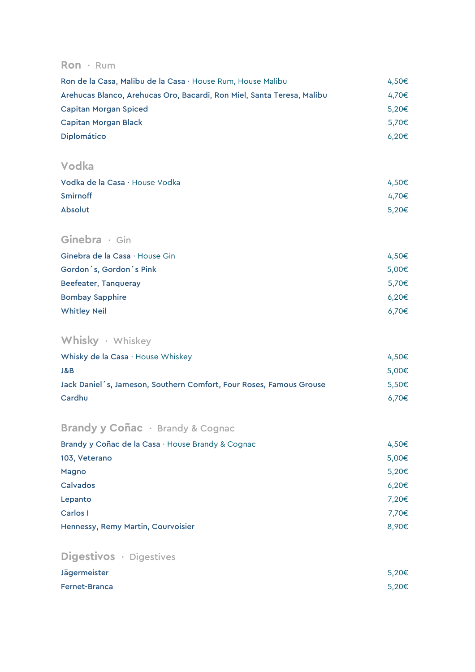#### Ron · Rum

| Ron de la Casa, Malibu de la Casa · House Rum, House Malibu            | 4.50€ |
|------------------------------------------------------------------------|-------|
| Arehucas Blanco, Arehucas Oro, Bacardi, Ron Miel, Santa Teresa, Malibu | 4.70€ |
| <b>Capitan Morgan Spiced</b>                                           | 5.20€ |
| Capitan Morgan Black                                                   | 5.70€ |
| <b>Diplomático</b>                                                     | 6.20€ |

#### Vodka

| Vodka de la Casa · House Vodka | 4.50€ |
|--------------------------------|-------|
| Smirnoff                       | 4.70€ |
| <b>Absolut</b>                 | 5.20€ |

#### Ginebra · Gin

| Ginebra de la Casa $\cdot$ House Gin | 4.50€ |
|--------------------------------------|-------|
| Gordon's, Gordon's Pink              | 5,00€ |
| Beefeater, Tanqueray                 | 5.70€ |
| <b>Bombay Sapphire</b>               | 6.20€ |
| <b>Whitley Neil</b>                  | 6.70€ |

## Whisky · Whiskey

| Whisky de la Casa $\cdot$ House Whiskey                             | $4.50 \in$ |
|---------------------------------------------------------------------|------------|
| J&B                                                                 | 5.00€      |
| Jack Daniel's, Jameson, Southern Comfort, Four Roses, Famous Grouse | 5.50€      |
| Cardhu                                                              | 6.70€      |

## Brandy y Coñac · Brandy & Cognac

| Brandy y Coñac de la Casa · House Brandy & Cognac | $4,50 \in$ |
|---------------------------------------------------|------------|
| 103, Veterano                                     | $5,00 \in$ |
| Magno                                             | 5,20€      |
| Calvados                                          | 6,20€      |
| Lepanto                                           | 7,20€      |
| Carlos I                                          | 7.70€      |
| Hennessy, Remy Martin, Courvoisier                | 8,90€      |

## Digestivos · Digestives

| Jägermeister  | 5.20€ |
|---------------|-------|
| Fernet-Branca | 5.20€ |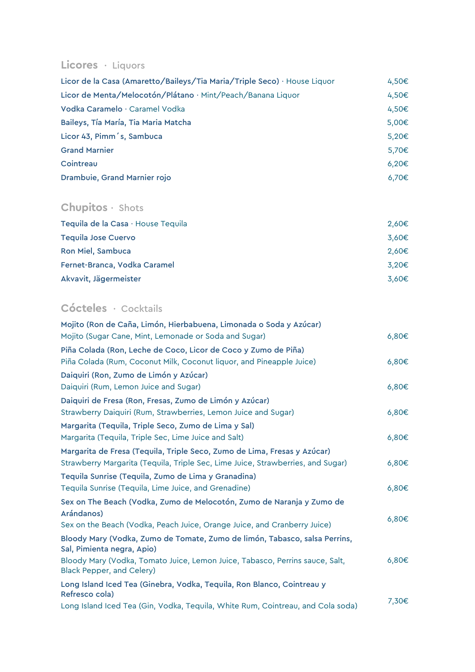#### Licores · Liquors

| Licor de la Casa (Amaretto/Baileys/Tia Maria/Triple Seco) · House Liquor | 4,50€           |
|--------------------------------------------------------------------------|-----------------|
| Licor de Menta/Melocotón/Plátano · Mint/Peach/Banana Liquor              | 4,50 $\epsilon$ |
| Vodka Caramelo · Caramel Vodka                                           | 4,50 $\epsilon$ |
| Baileys, Tía María, Tia Maria Matcha                                     | $5,00 \in$      |
| Licor 43, Pimm's, Sambuca                                                | 5,20€           |
| <b>Grand Marnier</b>                                                     | 5.70€           |
| Cointreau                                                                | 6.20€           |
| Drambuie, Grand Marnier rojo                                             | 6,70€           |

## Chupitos · Shots

| Tequila de la Casa · House Tequila | 2,60€ |
|------------------------------------|-------|
| <b>Tequila Jose Cuervo</b>         | 3,60€ |
| Ron Miel, Sambuca                  | 2,60€ |
| Fernet-Branca, Vodka Caramel       | 3.20€ |
| Akvavit, Jägermeister              | 3.60€ |

## Cócteles · Cocktails

| Mojito (Ron de Caña, Limón, Hierbabuena, Limonada o Soda y Azúcar)                                        |            |
|-----------------------------------------------------------------------------------------------------------|------------|
| Mojito (Sugar Cane, Mint, Lemonade or Soda and Sugar)                                                     | 6,80€      |
| Piña Colada (Ron, Leche de Coco, Licor de Coco y Zumo de Piña)                                            |            |
| Piña Colada (Rum, Coconut Milk, Coconut liquor, and Pineapple Juice)                                      | 6,80€      |
| Daiquiri (Ron, Zumo de Limón y Azúcar)                                                                    |            |
| Daiquiri (Rum, Lemon Juice and Sugar)                                                                     | 6,80€      |
| Daiquiri de Fresa (Ron, Fresas, Zumo de Limón y Azúcar)                                                   |            |
| Strawberry Daiquiri (Rum, Strawberries, Lemon Juice and Sugar)                                            | $6,80 \in$ |
| Margarita (Tequila, Triple Seco, Zumo de Lima y Sal)                                                      |            |
| Margarita (Tequila, Triple Sec, Lime Juice and Salt)                                                      | 6,80€      |
| Margarita de Fresa (Tequila, Triple Seco, Zumo de Lima, Fresas y Azúcar)                                  |            |
| Strawberry Margarita (Tequila, Triple Sec, Lime Juice, Strawberries, and Sugar)                           | $6,80 \in$ |
| Tequila Sunrise (Tequila, Zumo de Lima y Granadina)                                                       |            |
| Tequila Sunrise (Tequila, Lime Juice, and Grenadine)                                                      | 6,80€      |
| Sex on The Beach (Vodka, Zumo de Melocotón, Zumo de Naranja y Zumo de                                     |            |
| Arándanos)                                                                                                | $6,80 \in$ |
| Sex on the Beach (Vodka, Peach Juice, Orange Juice, and Cranberry Juice)                                  |            |
| Bloody Mary (Vodka, Zumo de Tomate, Zumo de limón, Tabasco, salsa Perrins,<br>Sal, Pimienta negra, Apio)  |            |
| Bloody Mary (Vodka, Tomato Juice, Lemon Juice, Tabasco, Perrins sauce, Salt,<br>Black Pepper, and Celery) | 6,80€      |
| Long Island Iced Tea (Ginebra, Vodka, Tequila, Ron Blanco, Cointreau y<br>Refresco cola)                  |            |
| Long Island Iced Tea (Gin, Vodka, Tequila, White Rum, Cointreau, and Cola soda)                           | 7,30€      |